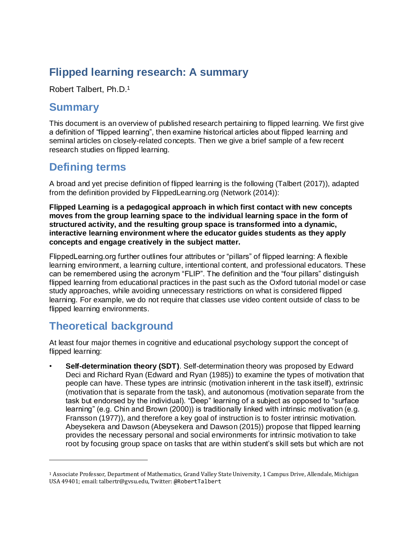## **Flipped learning research: A summary**

Robert Talbert, Ph.D.<sup>1</sup>

#### **Summary**

This document is an overview of published research pertaining to flipped learning. We first give a definition of "flipped learning", then examine historical articles about flipped learning and seminal articles on closely-related concepts. Then we give a brief sample of a few recent research studies on flipped learning.

#### **Defining terms**

A broad and yet precise definition of flipped learning is the following (Talbert (2017)), adapted from the definition provided by FlippedLearning.org (Network (2014)):

**Flipped Learning is a pedagogical approach in which first contact with new concepts moves from the group learning space to the individual learning space in the form of structured activity, and the resulting group space is transformed into a dynamic, interactive learning environment where the educator guides students as they apply concepts and engage creatively in the subject matter.**

FlippedLearning.org further outlines four attributes or "pillars" of flipped learning: A flexible learning environment, a learning culture, intentional content, and professional educators. These can be remembered using the acronym "FLIP". The definition and the "four pillars" distinguish flipped learning from educational practices in the past such as the Oxford tutorial model or case study approaches, while avoiding unnecessary restrictions on what is considered flipped learning. For example, we do not require that classes use video content outside of class to be flipped learning environments.

# **Theoretical background**

 $\overline{a}$ 

At least four major themes in cognitive and educational psychology support the concept of flipped learning:

• **Self-determination theory (SDT)**. Self-determination theory was proposed by Edward Deci and Richard Ryan (Edward and Ryan (1985)) to examine the types of motivation that people can have. These types are *intrinsic* (motivation inherent in the task itself), *extrinsic* (motivation that is separate from the task), and *autonomous* (motivation separate from the task but endorsed by the individual). "Deep" learning of a subject as opposed to "surface learning" (e.g. Chin and Brown (2000)) is traditionally linked with intrinsic motivation (e.g. Fransson (1977)), and therefore a key goal of instruction is to foster intrinsic motivation. Abeysekera and Dawson (Abeysekera and Dawson (2015)) propose that flipped learning provides the necessary personal and social environments for intrinsic motivation to take root by focusing group space on tasks that are within student's skill sets but which are not

<sup>1</sup> Associate Professor, Department of Mathematics, Grand Valley State University, 1 Campus Drive, Allendale, Michigan USA 49401; email: talbertr@gvsu.edu, Twitter: @RobertTalbert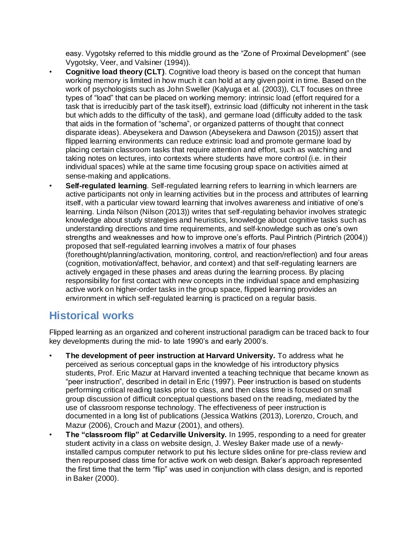easy. Vygotsky referred to this middle ground as the "Zone of Proximal Development" (see Vygotsky, Veer, and Valsiner (1994)).

- **Cognitive load theory (CLT)**. Cognitive load theory is based on the concept that human working memory is limited in how much it can hold at any given point in time. Based on the work of psychologists such as John Sweller (Kalyuga et al. (2003)), CLT focuses on three types of "load" that can be placed on working memory: *intrinsic load* (effort required for a task that is irreducibly part of the task itself), *extrinsic load* (difficulty not inherent in the task but which adds to the difficulty of the task), and *germane load* (difficulty added to the task that aids in the formation of "schema", or organized patterns of thought that connect disparate ideas). Abeysekera and Dawson (Abeysekera and Dawson (2015)) assert that flipped learning environments can reduce extrinsic load and promote germane load by placing certain classroom tasks that require attention and effort, such as watching and taking notes on lectures, into contexts where students have more control (i.e. in their individual spaces) while at the same time focusing group space on activities aimed at sense-making and applications.
- **Self-regulated learning**. Self-regulated learning refers to learning in which learners are active participants not only in learning activities but in the process and attributes of learning itself, with a particular view toward learning that involves awareness and initiative of one's learning. Linda Nilson (Nilson (2013)) writes that self-regulating behavior involves *strategic knowledge* about study strategies and heuristics, *knowledge about cognitive tasks* such as understanding directions and time requirements, and *self-knowledge* such as one's own strengths and weaknesses and how to improve one's efforts. Paul Pintrich (Pintrich (2004)) proposed that self-regulated learning involves a matrix of four *phases* (forethought/planning/activation, monitoring, control, and reaction/reflection) and four *areas* (cognition, motivation/affect, behavior, and context) and that self-regulating learners are actively engaged in these phases and areas during the learning process. By placing responsibility for first contact with new concepts in the individual space and emphasizing active work on higher-order tasks in the group space, flipped learning provides an environment in which self-regulated learning is practiced on a regular basis.

# **Historical works**

Flipped learning as an organized and coherent instructional paradigm can be traced back to four key developments during the mid- to late 1990's and early 2000's.

- **The development of peer instruction at Harvard University.** To address what he perceived as serious conceptual gaps in the knowledge of his introductory physics students, Prof. Eric Mazur at Harvard invented a teaching technique that became known as "peer instruction", described in detail in Eric (1997). Peer instruction is based on students performing critical reading tasks prior to class, and then class time is focused on small group discussion of difficult conceptual questions based on the reading, mediated by the use of classroom response technology. The effectiveness of peer instruction is documented in a long list of publications (Jessica Watkins (2013), Lorenzo, Crouch, and Mazur (2006), Crouch and Mazur (2001), and others).
- **The "classroom flip" at Cedarville University.** In 1995, responding to a need for greater student activity in a class on website design, J. Wesley Baker made use of a newlyinstalled campus computer network to put his lecture slides online for pre-class review and then repurposed class time for active work on web design. Baker's approach represented the first time that the term "flip" was used in conjunction with class design, and is reported in Baker (2000).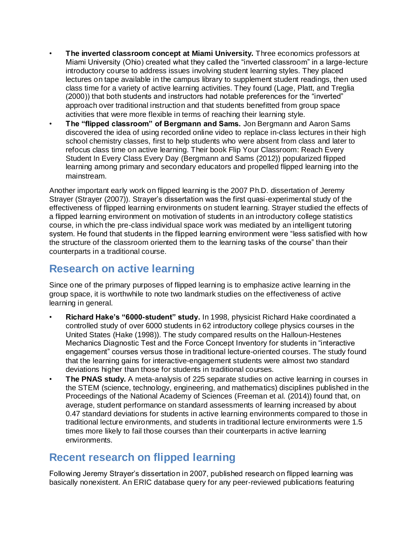- **The inverted classroom concept at Miami University.** Three economics professors at Miami University (Ohio) created what they called the "inverted classroom" in a large-lecture introductory course to address issues involving student learning styles. They placed lectures on tape available in the campus library to supplement student readings, then used class time for a variety of active learning activities. They found (Lage, Platt, and Treglia (2000)) that both students and instructors had notable preferences for the "inverted" approach over traditional instruction and that students benefitted from group space activities that were more flexible in terms of reaching their learning style.
- **The "flipped classroom" of Bergmann and Sams.** Jon Bergmann and Aaron Sams discovered the idea of using recorded online video to replace in-class lectures in their high school chemistry classes, first to help students who were absent from class and later to refocus class time on active learning. Their book *Flip Your Classroom: Reach Every Student In Every Class Every Day* (Bergmann and Sams (2012)) popularized flipped learning among primary and secondary educators and propelled flipped learning into the mainstream.

Another important early work on flipped learning is the 2007 Ph.D. dissertation of Jeremy Strayer (Strayer (2007)). Strayer's dissertation was the first quasi-experimental study of the effectiveness of flipped learning environments on student learning. Strayer studied the effects of a flipped learning environment on motivation of students in an introductory college statistics course, in which the pre-class individual space work was mediated by an intelligent tutoring system. He found that students in the flipped learning environment were "less satisfied with how the structure of the classroom oriented them to the learning tasks of the course" than their counterparts in a traditional course.

### **Research on active learning**

Since one of the primary purposes of flipped learning is to emphasize active learning in the group space, it is worthwhile to note two landmark studies on the effectiveness of active learning in general.

- **Richard Hake's "6000-student" study.** In 1998, physicist Richard Hake coordinated a controlled study of over 6000 students in 62 introductory college physics courses in the United States (Hake (1998)). The study compared results on the Halloun-Hestenes Mechanics Diagnostic Test and the Force Concept Inventory for students in "interactive engagement" courses versus those in traditional lecture-oriented courses. The study found that the learning gains for interactive-engagement students were almost two standard deviations higher than those for students in traditional courses.
- **The PNAS study.** A meta-analysis of 225 separate studies on active learning in courses in the STEM (science, technology, engineering, and mathematics) disciplines published in the *Proceedings of the National Academy of Sciences* (Freeman et al. (2014)) found that, on average, student performance on standard assessments of learning increased by about 0.47 standard deviations for students in active learning environments compared to those in traditional lecture environments, and students in traditional lecture environments were 1.5 times more likely to fail those courses than their counterparts in active learning environments.

## **Recent research on flipped learning**

Following Jeremy Strayer's dissertation in 2007, published research on flipped learning was basically nonexistent. An ERIC database query for any peer-reviewed publications featuring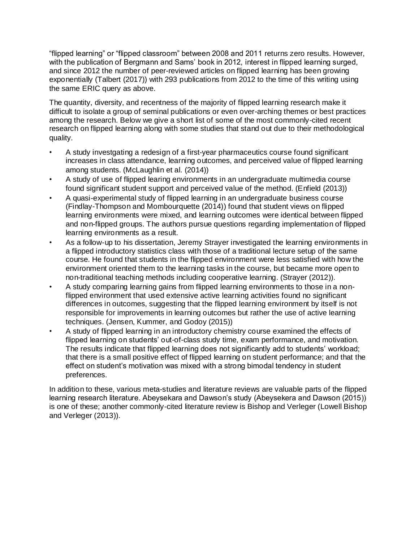"flipped learning" or "flipped classroom" between 2008 and 2011 returns zero results. However, with the publication of Bergmann and Sams' book in 2012, interest in flipped learning surged, and since 2012 the number of peer-reviewed articles on flipped learning has been growing exponentially (Talbert (2017)) with 293 publications from 2012 to the time of this writing using the same ERIC query as above.

The quantity, diversity, and recentness of the majority of flipped learning research make it difficult to isolate a group of seminal publications or even over-arching themes or best practices among the research. Below we give a short list of some of the most commonly-cited recent research on flipped learning along with some studies that stand out due to their methodological quality.

- A study investgating a redesign of a first-year pharmaceutics course found significant increases in class attendance, learning outcomes, and perceived value of flipped learning among students. (McLaughlin et al. (2014))
- A study of use of flipped learing environments in an undergraduate multimedia course found significant student support and perceived value of the method. (Enfield (2013))
- A quasi-experimental study of flipped learning in an undergraduate business course (Findlay-Thompson and Mombourquette (2014)) found that student views on flipped learning environments were mixed, and learning outcomes were identical between flipped and non-flipped groups. The authors pursue questions regarding implementation of flipped learning environments as a result.
- As a follow-up to his dissertation, Jeremy Strayer investigated the learning environments in a flipped introductory statistics class with those of a traditional lecture setup of the same course. He found that students in the flipped environment were less satisfied with how the environment oriented them to the learning tasks in the course, but became more open to non-traditional teaching methods including cooperative learning. (Strayer (2012)).
- A study comparing learning gains from flipped learning environments to those in a nonflipped environment that used extensive active learning activities found no significant differences in outcomes, suggesting that the flipped learning environment by itself is not responsible for improvements in learning outcomes but rather the use of active learning techniques. (Jensen, Kummer, and Godoy (2015))
- A study of flipped learning in an introductory chemistry course examined the effects of flipped learning on students' out-of-class study time, exam performance, and motivation. The results indicate that flipped learning does not significantly add to students' workload; that there is a small positive effect of flipped learning on student performance; and that the effect on student's motivation was mixed with a strong bimodal tendency in student preferences.

In addition to these, various meta-studies and literature reviews are valuable parts of the flipped learning research literature. Abeysekara and Dawson's study (Abeysekera and Dawson (2015)) is one of these; another commonly-cited literature review is Bishop and Verleger (Lowell Bishop and Verleger (2013)).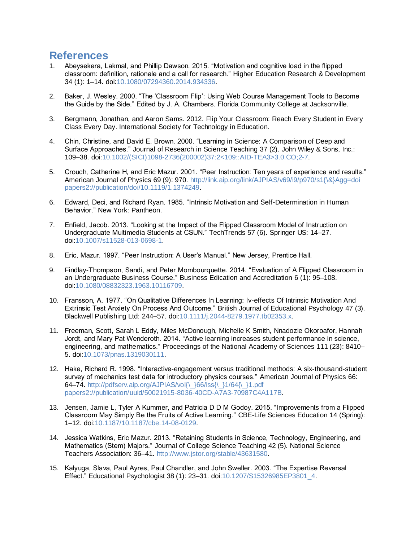#### **References**

- 1. Abeysekera, Lakmal, and Phillip Dawson. 2015. "Motivation and cognitive load in the flipped classroom: definition, rationale and a call for research." *Higher Education Research & Development* 34 (1): 1–14. doi[:10.1080/07294360.2014.934336.](https://doi.org/10.1080/07294360.2014.934336)
- 2. Baker, J. Wesley. 2000. "The 'Classroom Flip': Using Web Course Management Tools to Become the Guide by the Side." Edited by J. A. Chambers. Florida Community College at Jacksonville.
- 3. Bergmann, Jonathan, and Aaron Sams. 2012. *Flip Your Classroom: Reach Every Student in Every Class Every Day*. International Society for Technology in Education.
- 4. Chin, Christine, and David E. Brown. 2000. "Learning in Science: A Comparison of Deep and Surface Approaches." *Journal of Research in Science Teaching* 37 (2). John Wiley & Sons, Inc.: 109–38. doi[:10.1002/\(SICI\)1098-2736\(200002\)37:2<109::AID-TEA3>3.0.CO;2-7.](https://doi.org/10.1002/(SICI)1098-2736(200002)37:2%3c109::AID-TEA3%3e3.0.CO;2-7)
- 5. Crouch, Catherine H, and Eric Mazur. 2001. "Peer Instruction: Ten years of experience and results." *American Journal of Physics* 69 (9): 970. [http://link.aip.org/link/AJPIAS/v69/i9/p970/s1{\&}Agg=doi](http://link.aip.org/link/AJPIAS/v69/i9/p970/s1%7b/&%7dAgg=doi%20papers2:/publication/doi/10.1119/1.1374249)  [papers2://publication/doi/10.1119/1.1374249.](http://link.aip.org/link/AJPIAS/v69/i9/p970/s1%7b/&%7dAgg=doi%20papers2:/publication/doi/10.1119/1.1374249)
- 6. Edward, Deci, and Richard Ryan. 1985. "Intrinsic Motivation and Self-Determination in Human Behavior." *New York: Pantheon*.
- 7. Enfield, Jacob. 2013. "Looking at the Impact of the Flipped Classroom Model of Instruction on Undergraduate Multimedia Students at CSUN." *TechTrends* 57 (6). Springer US: 14–27. doi[:10.1007/s11528-013-0698-1.](https://doi.org/10.1007/s11528-013-0698-1)
- 8. Eric, Mazur. 1997. "Peer Instruction: A User's Manual." New Jersey, Prentice Hall.
- 9. Findlay-Thompson, Sandi, and Peter Mombourquette. 2014. "Evaluation of A Flipped Classroom in an Undergraduate Business Course." *Business Edication and Accreditation* 6 (1): 95–108. doi[:10.1080/08832323.1963.10116709.](https://doi.org/10.1080/08832323.1963.10116709)
- 10. Fransson, A. 1977. "On Qualitative Differences In Learning: Iv-effects Of Intrinsic Motivation And Extrinsic Test Anxiety On Process And Outcome." *British Journal of Educational Psychology* 47 (3). Blackwell Publishing Ltd: 244–57. doi[:10.1111/j.2044-8279.1977.tb02353.x.](https://doi.org/10.1111/j.2044-8279.1977.tb02353.x)
- 11. Freeman, Scott, Sarah L Eddy, Miles McDonough, Michelle K Smith, Nnadozie Okoroafor, Hannah Jordt, and Mary Pat Wenderoth. 2014. "Active learning increases student performance in science, engineering, and mathematics." *Proceedings of the National Academy of Sciences* 111 (23): 8410– 5. do[i:10.1073/pnas.1319030111.](https://doi.org/10.1073/pnas.1319030111)
- 12. Hake, Richard R. 1998. "Interactive-engagement versus traditional methods: A six-thousand-student survey of mechanics test data for introductory physics courses." *American Journal of Physics* 66: 64–74. [http://pdfserv.aip.org/AJPIAS/vol{\\\_}66/iss{\\\_}1/64{\\\_}1.pdf](http://pdfserv.aip.org/AJPIAS/vol%7b/_%7d66/iss%7b/_%7d1/64%7b/_%7d1.pdf%20papers2:/publication/uuid/50021915-8036-40CD-A7A3-70987C4A117B)  [papers2://publication/uuid/50021915-8036-40CD-A7A3-70987C4A117B.](http://pdfserv.aip.org/AJPIAS/vol%7b/_%7d66/iss%7b/_%7d1/64%7b/_%7d1.pdf%20papers2:/publication/uuid/50021915-8036-40CD-A7A3-70987C4A117B)
- 13. Jensen, Jamie L, Tyler A Kummer, and Patricia D D M Godoy. 2015. "Improvements from a Flipped Classroom May Simply Be the Fruits of Active Learning." *CBE-Life Sciences Education* 14 (Spring): 1–12. doi[:10.1187/10.1187/cbe.14-08-0129.](https://doi.org/10.1187/10.1187/cbe.14-08-0129)
- 14. Jessica Watkins, Eric Mazur. 2013. "Retaining Students in Science, Technology, Engineering, and Mathematics (Stem) Majors." *Journal of College Science Teaching* 42 (5). National Science Teachers Association: 36–41. [http://www.jstor.org/stable/43631580.](http://www.jstor.org/stable/43631580)
- 15. Kalyuga, Slava, Paul Ayres, Paul Chandler, and John Sweller. 2003. "The Expertise Reversal Effect." *Educational Psychologist* 38 (1): 23–31. doi[:10.1207/S15326985EP3801\\_4.](https://doi.org/10.1207/S15326985EP3801_4)